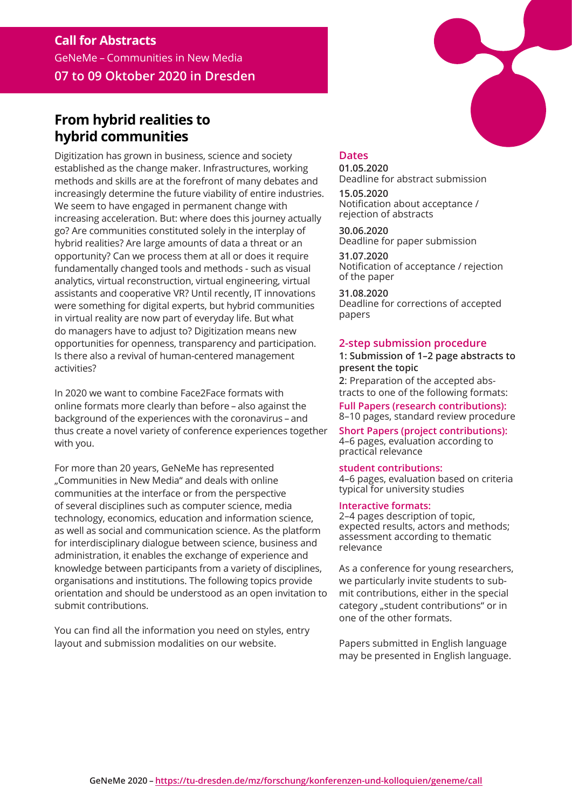# **Call for Abstracts** GeNeMe – Communities in New Media **07 to 09 Oktober 2020 in Dresden**

# **From hybrid realities to hybrid communities**

Digitization has grown in business, science and society established as the change maker. Infrastructures, working methods and skills are at the forefront of many debates and increasingly determine the future viability of entire industries. We seem to have engaged in permanent change with increasing acceleration. But: where does this journey actually go? Are communities constituted solely in the interplay of hybrid realities? Are large amounts of data a threat or an opportunity? Can we process them at all or does it require fundamentally changed tools and methods - such as visual analytics, virtual reconstruction, virtual engineering, virtual assistants and cooperative VR? Until recently, IT innovations were something for digital experts, but hybrid communities in virtual reality are now part of everyday life. But what do managers have to adjust to? Digitization means new opportunities for openness, transparency and participation. Is there also a revival of human-centered management activities?

In 2020 we want to combine Face2Face formats with online formats more clearly than before – also against the background of the experiences with the coronavirus – and thus create a novel variety of conference experiences together with you.

For more than 20 years, GeNeMe has represented "Communities in New Media" and deals with online communities at the interface or from the perspective of several disciplines such as computer science, media technology, economics, education and information science, as well as social and communication science. As the platform for interdisciplinary dialogue between science, business and administration, it enables the exchange of experience and knowledge between participants from a variety of disciplines, organisations and institutions. The following topics provide orientation and should be understood as an open invitation to submit contributions.

You can find all the information you need on styles, entry layout and submission modalities on our website.

# **Dates**

**01.05.2020** Deadline for abstract submission

**15.05.2020** Notification about acceptance / rejection of abstracts

**30.06.2020** Deadline for paper submission

**31.07.2020** Notification of acceptance / rejection of the paper

**31.08.2020** Deadline for corrections of accepted papers

### **2-step submission procedure**

## **1: Submission of 1–2 page abstracts to present the topic**

**2**: Preparation of the accepted abstracts to one of the following formats: **Full Papers (research contributions):** 

8–10 pages, standard review procedure

**Short Papers (project contributions):**  4–6 pages, evaluation according to practical relevance

**student contributions:** 

4–6 pages, evaluation based on criteria typical for university studies

#### **Interactive formats:**

2–4 pages description of topic, expected results, actors and methods; assessment according to thematic relevance

As a conference for young researchers, we particularly invite students to submit contributions, either in the special category "student contributions" or in one of the other formats.

Papers submitted in English language may be presented in English language.